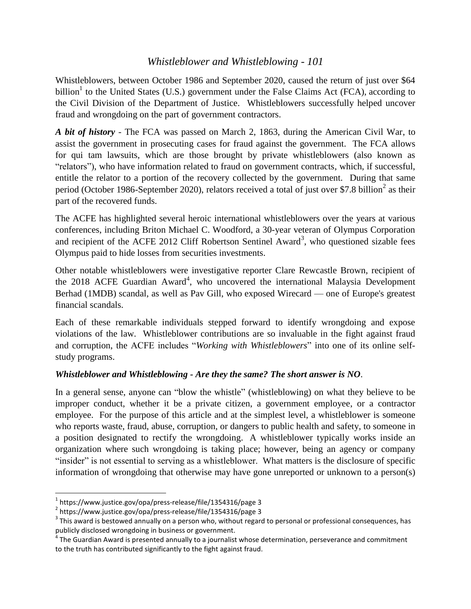## *Whistleblower and Whistleblowing - 101*

Whistleblowers, between October 1986 and September 2020, caused the return of just over \$64 billion<sup>1</sup> to the United States (U.S.) government under the False Claims Act (FCA), according to the Civil Division of the Department of Justice. Whistleblowers successfully helped uncover fraud and wrongdoing on the part of government contractors.

*A bit of history* - The FCA was passed on March 2, 1863, during the American Civil War, to assist the government in prosecuting cases for fraud against the government. The FCA allows for qui tam lawsuits, which are those brought by private whistleblowers (also known as "relators"), who have information related to fraud on government contracts, which, if successful, entitle the relator to a portion of the recovery collected by the government. During that same period (October 1986-September 2020), relators received a total of just over \$7.8 billion<sup>2</sup> as their part of the recovered funds.

The ACFE has highlighted several heroic international whistleblowers over the years at various conferences, including Briton Michael C. Woodford, a 30-year veteran of Olympus Corporation and recipient of the ACFE 2012 Cliff Robertson Sentinel Award<sup>3</sup>, who questioned sizable fees Olympus paid to hide losses from securities investments.

Other notable whistleblowers were investigative reporter Clare Rewcastle Brown, recipient of the 2018 ACFE Guardian Award<sup>4</sup>, who uncovered the international Malaysia Development Berhad (1MDB) scandal, as well as Pav Gill, who exposed Wirecard — one of Europe's greatest financial scandals.

Each of these remarkable individuals stepped forward to identify wrongdoing and expose violations of the law. Whistleblower contributions are so invaluable in the fight against fraud and corruption, the ACFE includes "*Working with Whistleblowers*" into one of its online selfstudy programs.

#### *Whistleblower and Whistleblowing - Are they the same? The short answer is NO*.

In a general sense, anyone can "blow the whistle" (whistleblowing) on what they believe to be improper conduct, whether it be a private citizen, a government employee, or a contractor employee. For the purpose of this article and at the simplest level, a whistleblower is someone who reports waste, fraud, abuse, corruption, or dangers to public health and safety, to someone in a position designated to rectify the wrongdoing. A whistleblower typically works inside an organization where such wrongdoing is taking place; however, being an agency or company "insider" is not essential to serving as a whistleblower. What matters is the disclosure of specific information of wrongdoing that otherwise may have gone unreported or unknown to a person(s)

 $\overline{a}$ 

 $^{\text{1}}$  <https://www.justice.gov/opa/press-release/file/1354316/page> 3

 $^{2}$  <https://www.justice.gov/opa/press-release/file/1354316/page> 3

 $^3$  This award is bestowed annually on a person who, without regard to personal or professional consequences, has publicly disclosed wrongdoing in business or government.

<sup>&</sup>lt;sup>4</sup> The Guardian Award is presented annually to a journalist whose determination, perseverance and commitment to the truth has contributed significantly to the fight against fraud.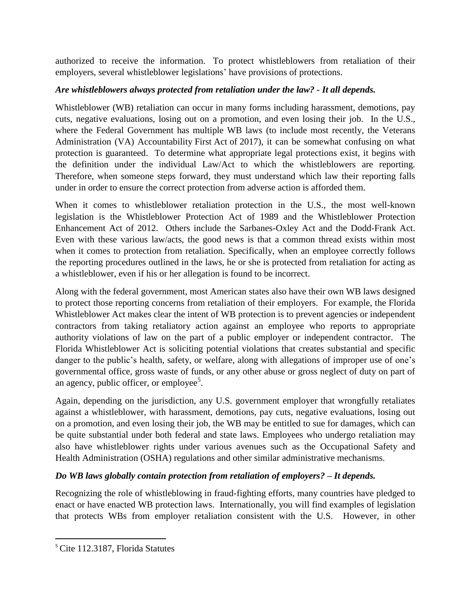authorized to receive the information. To protect whistleblowers from retaliation of their employers, several whistleblower legislations' have provisions of protections.

## *Are whistleblowers always protected from retaliation under the law? - It all depends.*

Whistleblower (WB) retaliation can occur in many forms including harassment, demotions, pay cuts, negative evaluations, losing out on a promotion, and even losing their job. In the U.S., where the Federal Government has multiple WB laws (to include most recently, the Veterans Administration (VA) Accountability First Act of 2017), it can be somewhat confusing on what protection is guaranteed. To determine what appropriate legal protections exist, it begins with the definition under the individual Law/Act to which the whistleblowers are reporting. Therefore, when someone steps forward, they must understand which law their reporting falls under in order to ensure the correct protection from adverse action is afforded them.

When it comes to whistleblower retaliation protection in the U.S., the most well-known legislation is the Whistleblower Protection Act of 1989 and the Whistleblower Protection Enhancement Act of 2012. Others include the Sarbanes-Oxley Act and the Dodd-Frank Act. Even with these various law/acts, the good news is that a common thread exists within most when it comes to protection from retaliation. Specifically, when an employee correctly follows the reporting procedures outlined in the laws, he or she is protected from retaliation for acting as a whistleblower, even if his or her allegation is found to be incorrect.

Along with the federal government, most American states also have their own WB laws designed to protect those reporting concerns from retaliation of their employers. For example, the Florida Whistleblower Act makes clear the intent of WB protection is to prevent agencies or independent contractors from taking retaliatory action against an employee who reports to appropriate authority violations of law on the part of a public employer or independent contractor. The Florida Whistleblower Act is soliciting potential violations that creates substantial and specific danger to the public's health, safety, or welfare, along with allegations of improper use of one's governmental office, gross waste of funds, or any other abuse or gross neglect of duty on part of an agency, public officer, or employee<sup>5</sup>.

Again, depending on the jurisdiction, any U.S. government employer that wrongfully retaliates against a whistleblower, with harassment, demotions, pay cuts, negative evaluations, losing out on a promotion, and even losing their job, the WB may be entitled to sue for damages, which can be quite substantial under both federal and state laws. Employees who undergo retaliation may also have whistleblower rights under various avenues such as the Occupational Safety and Health Administration (OSHA) regulations and other similar administrative mechanisms.

## *Do WB laws globally contain protection from retaliation of employers? – It depends.*

Recognizing the role of whistleblowing in fraud-fighting efforts, many countries have pledged to enact or have enacted WB protection laws. Internationally, you will find examples of legislation that protects WBs from employer retaliation consistent with the U.S. However, in other

 $\overline{a}$ 

<sup>5</sup> Cite 112.3187, Florida Statutes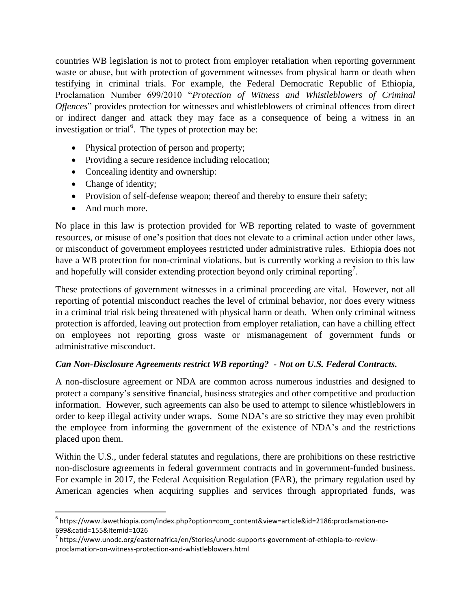countries WB legislation is not to protect from employer retaliation when reporting government waste or abuse, but with protection of government witnesses from physical harm or death when testifying in criminal trials. For example, the Federal Democratic Republic of Ethiopia, Proclamation Number 699/2010 "*Protection of Witness and Whistleblowers of Criminal Offences*" provides protection for witnesses and whistleblowers of criminal offences from direct or indirect danger and attack they may face as a consequence of being a witness in an investigation or trial<sup>6</sup>. The types of protection may be:

- Physical protection of person and property;
- Providing a secure residence including relocation;
- Concealing identity and ownership:
- Change of identity;
- Provision of self-defense weapon; thereof and thereby to ensure their safety;
- And much more.

 $\overline{a}$ 

No place in this law is protection provided for WB reporting related to waste of government resources, or misuse of one's position that does not elevate to a criminal action under other laws, or misconduct of government employees restricted under administrative rules. Ethiopia does not have a WB protection for non-criminal violations, but is currently working a revision to this law and hopefully will consider extending protection beyond only criminal reporting<sup>7</sup>.

These protections of government witnesses in a criminal proceeding are vital. However, not all reporting of potential misconduct reaches the level of criminal behavior, nor does every witness in a criminal trial risk being threatened with physical harm or death. When only criminal witness protection is afforded, leaving out protection from employer retaliation, can have a chilling effect on employees not reporting gross waste or mismanagement of government funds or administrative misconduct.

## *Can Non-Disclosure Agreements restrict WB reporting? - Not on U.S. Federal Contracts.*

A non-disclosure agreement or NDA are common across numerous industries and designed to protect a company's sensitive financial, business strategies and other competitive and production information. However, such agreements can also be used to attempt to silence whistleblowers in order to keep illegal activity under wraps. Some NDA's are so strictive they may even prohibit the employee from informing the government of the existence of NDA's and the restrictions placed upon them.

Within the U.S., under federal statutes and regulations, there are prohibitions on these restrictive non-disclosure agreements in federal government contracts and in government-funded business. For example in 2017, the Federal Acquisition Regulation (FAR), the primary regulation used by American agencies when acquiring supplies and services through appropriated funds, was

<sup>6</sup> https://www.lawethiopia.com/index.php?option=com\_content&view=article&id=2186:proclamation-no-699&catid=155&Itemid=1026

<sup>&</sup>lt;sup>7</sup> https://www.unodc.org/easternafrica/en/Stories/unodc-supports-government-of-ethiopia-to-reviewproclamation-on-witness-protection-and-whistleblowers.html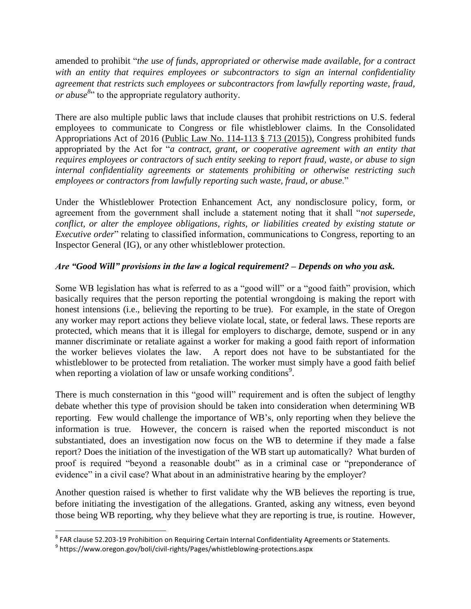amended to prohibit "*the use of funds, appropriated or otherwise made available, for a contract with an entity that requires employees or subcontractors to sign an internal confidentiality agreement that restricts such employees or subcontractors from lawfully reporting waste, fraud, or abuse<sup>8</sup>* " to the appropriate regulatory authority.

There are also multiple public laws that include clauses that prohibit restrictions on U.S. federal employees to communicate to Congress or file whistleblower claims. In the Consolidated Appropriations Act of 2016 [\(Public Law No. 114-113 § 713 \(2015\)\)](https://kkc.com/assets/Site_18/files/resources/Public%20Law%20No.%20114-113%20§%20713%20(2015)%20(1).pdf), Congress prohibited funds appropriated by the Act for "*a contract, grant, or cooperative agreement with an entity that requires employees or contractors of such entity seeking to report fraud, waste, or abuse to sign internal confidentiality agreements or statements prohibiting or otherwise restricting such employees or contractors from lawfully reporting such waste, fraud, or abuse*."

Under the Whistleblower Protection Enhancement Act, any nondisclosure policy, form, or agreement from the government shall include a statement noting that it shall "*not supersede, conflict, or alter the employee obligations, rights, or liabilities created by existing statute or Executive order*" relating to classified information, communications to Congress, reporting to an Inspector General (IG), or any other whistleblower protection.

### *Are "Good Will" provisions in the law a logical requirement? – Depends on who you ask.*

Some WB legislation has what is referred to as a "good will" or a "good faith" provision, which basically requires that the person reporting the potential wrongdoing is making the report with honest intensions (i.e., believing the reporting to be true). For example, in the state of Oregon any worker may report actions they believe violate local, state, or federal laws. These reports are protected, which means that it is illegal for employers to discharge, demote, suspend or in any manner discriminate or retaliate against a worker for making a good faith report of information the worker believes violates the law. A report does not have to be substantiated for the whistleblower to be protected from retaliation. The worker must simply have a good faith belief when reporting a violation of law or unsafe working conditions<sup>9</sup>.

There is much consternation in this "good will" requirement and is often the subject of lengthy debate whether this type of provision should be taken into consideration when determining WB reporting. Few would challenge the importance of WB's, only reporting when they believe the information is true. However, the concern is raised when the reported misconduct is not substantiated, does an investigation now focus on the WB to determine if they made a false report? Does the initiation of the investigation of the WB start up automatically? What burden of proof is required "beyond a reasonable doubt" as in a criminal case or "preponderance of evidence" in a civil case? What about in an administrative hearing by the employer?

Another question raised is whether to first validate why the WB believes the reporting is true, before initiating the investigation of the allegations. Granted, asking any witness, even beyond those being WB reporting, why they believe what they are reporting is true, is routine. However,

 8 FAR clause 52.203-19 Prohibition on Requiring Certain Internal Confidentiality Agreements or Statements.

<sup>&</sup>lt;sup>9</sup> https://www.oregon.gov/boli/civil-rights/Pages/whistleblowing-protections.aspx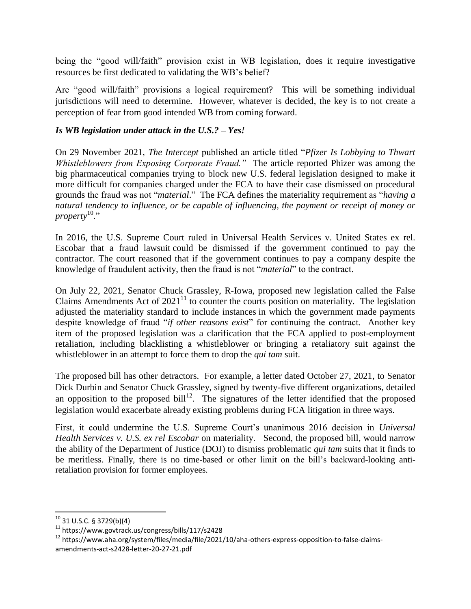being the "good will/faith" provision exist in WB legislation, does it require investigative resources be first dedicated to validating the WB's belief?

Are "good will/faith" provisions a logical requirement? This will be something individual jurisdictions will need to determine. However, whatever is decided, the key is to not create a perception of fear from good intended WB from coming forward.

#### *Is WB legislation under attack in the U.S.? – Yes!*

On 29 November 2021, *The Intercept* published an article titled "*Pfizer Is Lobbying to Thwart Whistleblowers from Exposing Corporate Fraud."* The article reported Phizer was among the big pharmaceutical companies trying to block new U.S. federal legislation designed to make it more difficult for companies charged under the FCA to have their case dismissed on procedural grounds the fraud was not "*material*." The FCA defines the materiality requirement as "*having a natural tendency to influence, or be capable of influencing, the payment or receipt of money or*  property<sup>10</sup>."

In 2016, the U.S. Supreme Court ruled in Universal Health Services v. United States ex rel. Escobar that a fraud lawsuit could be dismissed if the government continued to pay the contractor. The court reasoned that if the government continues to pay a company despite the knowledge of fraudulent activity, then the fraud is not "*material*" to the contract.

On July 22, 2021, Senator Chuck Grassley, R-Iowa, proposed new legislation called the False Claims Amendments Act of  $2021<sup>11</sup>$  to counter the courts position on materiality. The legislation adjusted the materiality standard to include instances in which the government made payments despite knowledge of fraud "*if other reasons exist*" for continuing the contract. Another key item of the proposed legislation was a clarification that the FCA applied to post-employment retaliation, including blacklisting a whistleblower or bringing a retaliatory suit against the whistleblower in an attempt to force them to drop the *qui tam* suit.

The proposed bill has other detractors. For example, a letter dated October 27, 2021, to Senator Dick Durbin and Senator Chuck Grassley, signed by twenty-five different organizations, detailed an opposition to the proposed bill<sup>12</sup>. The signatures of the letter identified that the proposed legislation would exacerbate already existing problems during FCA litigation in three ways.

First, it could undermine the U.S. Supreme Court's unanimous 2016 decision in *Universal Health Services v. U.S. ex rel Escobar* on materiality. Second, the proposed bill, would narrow the ability of the Department of Justice (DOJ) to dismiss problematic *qui tam* suits that it finds to be meritless. Finally, there is no time-based or other limit on the bill's backward-looking antiretaliation provision for former employees.

 $\overline{a}$ 

 $10$  31 U.S.C. § 3729(b)(4)

<sup>11</sup> https://www.govtrack.us/congress/bills/117/s2428

<sup>12</sup> https://www.aha.org/system/files/media/file/2021/10/aha-others-express-opposition-to-false-claimsamendments-act-s2428-letter-20-27-21.pdf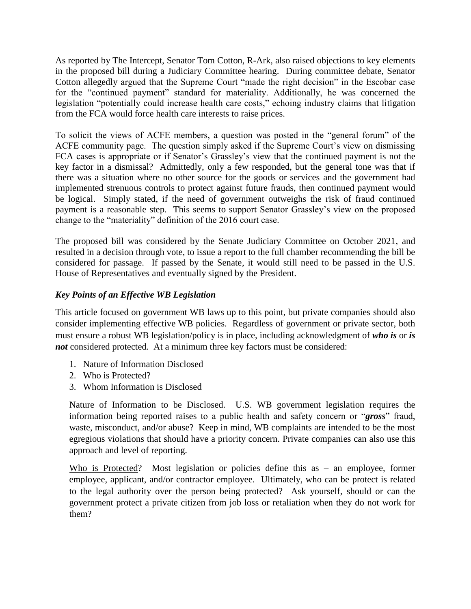As reported by The Intercept, Senator Tom Cotton, R-Ark, also raised objections to key elements in the proposed bill during a Judiciary Committee hearing. During committee debate, Senator Cotton allegedly argued that the Supreme Court "made the right decision" in the Escobar case for the "continued payment" standard for materiality. Additionally, he was concerned the legislation "potentially could increase health care costs," echoing industry claims that litigation from the FCA would force health care interests to raise prices.

To solicit the views of ACFE members, a question was posted in the "general forum" of the ACFE community page. The question simply asked if the Supreme Court's view on dismissing FCA cases is appropriate or if Senator's Grassley's view that the continued payment is not the key factor in a dismissal? Admittedly, only a few responded, but the general tone was that if there was a situation where no other source for the goods or services and the government had implemented strenuous controls to protect against future frauds, then continued payment would be logical. Simply stated, if the need of government outweighs the risk of fraud continued payment is a reasonable step. This seems to support Senator Grassley's view on the proposed change to the "materiality" definition of the 2016 court case.

The proposed bill was considered by the Senate Judiciary Committee on October 2021, and resulted in a decision through vote, to issue a report to the full chamber recommending the bill be considered for passage. If passed by the Senate, it would still need to be passed in the U.S. House of Representatives and eventually signed by the President.

# *Key Points of an Effective WB Legislation*

This article focused on government WB laws up to this point, but private companies should also consider implementing effective WB policies. Regardless of government or private sector, both must ensure a robust WB legislation/policy is in place, including acknowledgment of *who is* or *is not* considered protected. At a minimum three key factors must be considered:

- 1. Nature of Information Disclosed
- 2. Who is Protected?
- 3. Whom Information is Disclosed

Nature of Information to be Disclosed. U.S. WB government legislation requires the information being reported raises to a public health and safety concern or "*gross*" fraud, waste, misconduct, and/or abuse? Keep in mind, WB complaints are intended to be the most egregious violations that should have a priority concern. Private companies can also use this approach and level of reporting.

Who is Protected? Most legislation or policies define this as – an employee, former employee, applicant, and/or contractor employee. Ultimately, who can be protect is related to the legal authority over the person being protected? Ask yourself, should or can the government protect a private citizen from job loss or retaliation when they do not work for them?